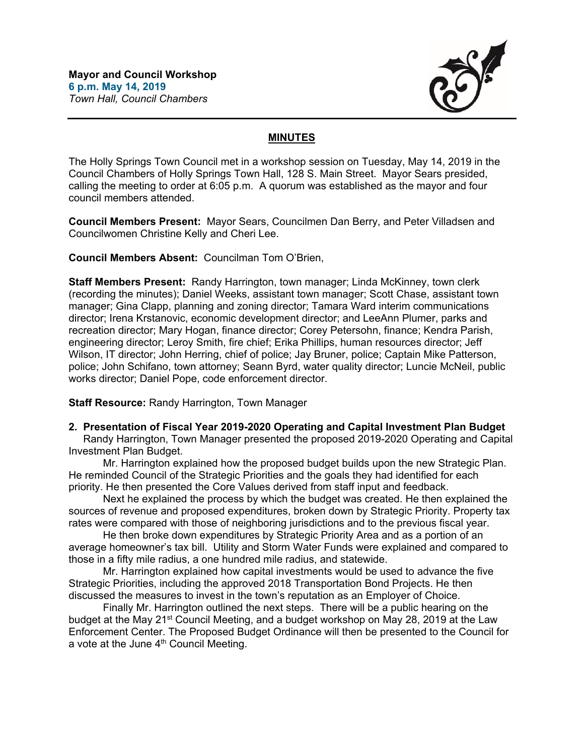

## **MINUTES**

The Holly Springs Town Council met in a workshop session on Tuesday, May 14, 2019 in the Council Chambers of Holly Springs Town Hall, 128 S. Main Street. Mayor Sears presided, calling the meeting to order at 6:05 p.m. A quorum was established as the mayor and four council members attended.

**Council Members Present:** Mayor Sears, Councilmen Dan Berry, and Peter Villadsen and Councilwomen Christine Kelly and Cheri Lee.

**Council Members Absent:** Councilman Tom O'Brien,

**Staff Members Present:** Randy Harrington, town manager; Linda McKinney, town clerk (recording the minutes); Daniel Weeks, assistant town manager; Scott Chase, assistant town manager; Gina Clapp, planning and zoning director; Tamara Ward interim communications director; Irena Krstanovic, economic development director; and LeeAnn Plumer, parks and recreation director; Mary Hogan, finance director; Corey Petersohn, finance; Kendra Parish, engineering director; Leroy Smith, fire chief; Erika Phillips, human resources director; Jeff Wilson, IT director; John Herring, chief of police; Jay Bruner, police; Captain Mike Patterson, police; John Schifano, town attorney; Seann Byrd, water quality director; Luncie McNeil, public works director; Daniel Pope, code enforcement director.

**Staff Resource:** Randy Harrington, Town Manager

**2. Presentation of Fiscal Year 2019-2020 Operating and Capital Investment Plan Budget**

 Randy Harrington, Town Manager presented the proposed 2019-2020 Operating and Capital Investment Plan Budget.

Mr. Harrington explained how the proposed budget builds upon the new Strategic Plan. He reminded Council of the Strategic Priorities and the goals they had identified for each priority. He then presented the Core Values derived from staff input and feedback.

Next he explained the process by which the budget was created. He then explained the sources of revenue and proposed expenditures, broken down by Strategic Priority. Property tax rates were compared with those of neighboring jurisdictions and to the previous fiscal year.

 He then broke down expenditures by Strategic Priority Area and as a portion of an average homeowner's tax bill. Utility and Storm Water Funds were explained and compared to those in a fifty mile radius, a one hundred mile radius, and statewide.

 Mr. Harrington explained how capital investments would be used to advance the five Strategic Priorities, including the approved 2018 Transportation Bond Projects. He then discussed the measures to invest in the town's reputation as an Employer of Choice.

 Finally Mr. Harrington outlined the next steps. There will be a public hearing on the budget at the May 21<sup>st</sup> Council Meeting, and a budget workshop on May 28, 2019 at the Law Enforcement Center. The Proposed Budget Ordinance will then be presented to the Council for a vote at the June 4<sup>th</sup> Council Meeting.